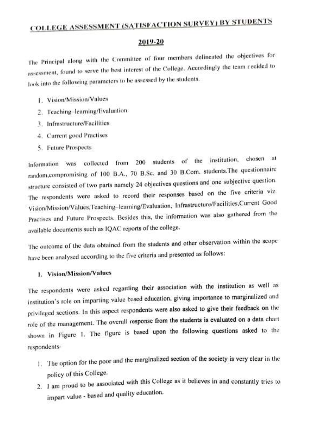# COLLEGE ASSESSMENT (SATISEACTION SURVEY) BY STUDENTS

#### 2019-20

The Principal along with the Committee of four members delineated the objectives for assessment, found to serve the best interest of the College. Accordingly the team decided to look into the following parameters to be assessed by the students.

- I. Vision/Mission/Values
- 2. Teaching-lcarning/Evaluation
- 3. Infrastructure/Facilities
- 4. Current good Practises
- 5. Future Prospects

Information was collected from 200 students of the institution, chosen at random.compromising of 100 B.A., 70 B.Sc. and 30 B.Com. students.The questionnaire structure consisted of two parts namely 24 objectives questions and one subjective question. The respondents were asked to record their responses based on the five criteria viz. Vision/Mission/Values,Teaching-learning/Evaluation, Infrastructure/Facilities,Current Good Practises and Future Prospects. Besides this, the information was also gathered from the available documents such as 1QAC reports of the college.

The outcome of the data obtained from the students and other observation within the scope have been analysed according to the five criteria and presented as follows:

## . Vision/Mission/Values

The respondents were asked regarding their association with the institution as well as institution's role on imparting value based education, giving importance to marginalized and privileged sections. In this aspcct respondents were also asked to give their feedback on the role of the management. The overall response from the students is evaluated on a data chart shown in Figure 1. The figure is based upon the following questions asked to the respondents-

- . The option for the poor and the marginalized section of the society is very clear in the policy of this College.
- 2. I am proud to be associated with this College as it believes in and constantly tries to impart value - based and quality education.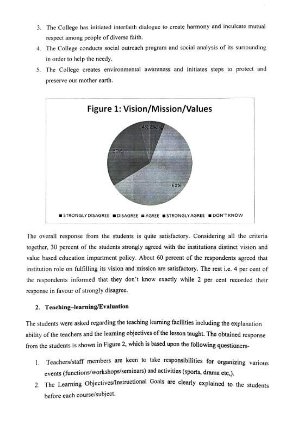- 3. The College has initiated interfaith dialogue to create harmony and inculcate mutual respect among people of diverse faith.
- 4. The College conducts social outreach program and social analysis of its surrounding in order to help the needy.
- 5. The College creates environmental awareness and initiates steps to protect and preserve our mother earth.



The overall response from the students is quite satisfactory. Considering all the eriteria together, 30 percent of the students strongly agreed with the institutions distinct vision and value based education impartment policy. About 60 percent of the respondents agreed that institution role on fulfilling its vision and mission are satisfactory. The rest i.e. 4 per cent of the respondents informed that they don't know exactly while 2 per cent recorded their response in favour of strongly disagree.

#### 2. Teaching-learning/Evaluation

The students were asked regarding the teaching learning facilities including the explanation ability of the teachers and the learning objectives of the lesson taught. The obtained response from the students is shown in Figure 2, which is based upon the following questioners-

- 1. Teachers/staff members are keen to take responsibilities for organizing various events (functions/workshops/seminars) and activities (sports, drama etc.).
- 2. The Learning Objectives/Instructional Goals are clearly explained to the students before each course/subject.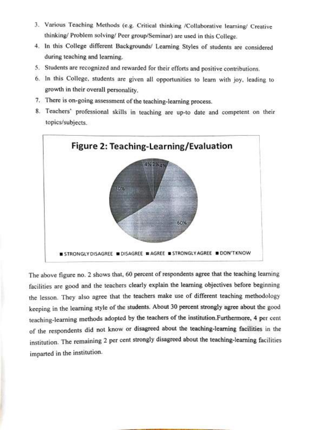- 3. Various Teaching Methods (e.g. Critical thinking /Collaborative learning/ Creative thinking/ Problem solving/ Peer group/Seminar) are used in this College.
- 4. In this College different Backgrounds/ Learning Styles of students are considered during teaching and learning.
- 5. Students are recognized and rewarded for their efforts and positive contributions.
- 6. In this College, students are given all opportunities to learn with joy, leading to growth in their overall personality.
- 7. There is on-going assessment of the teaching-learning process.
- 8. Teachers' professional skills in teaching are up-to date and competent on their topics/subjects



The above figure no. 2 shows that, 60 percent of respondents agree that the teaching learning facilities are good and the teachers clearly explain the learning objectives before beginning the lesson. They also agree that the teachers make use of different teaching methodology keeping in the learning style of the students. About 30 percent strongly agree about the good teaching-learning methods adopted by the teachers of the instirution.Furthermore, 4 per cent of the respondents did not know or disagreed about the teaching-learning facilities in the institution. The remaining 2 per cent strongly disagreed about the teaching-learning facilities imparted in the institution.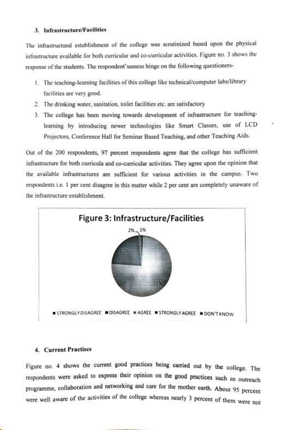#### 3. Infrastructure/Facilities

The infrastructural establishment of the college was scrutinized based upon the physical infrastructure available for both curricular and co-curricular activities. Figure no. 3 shows the response of the students. The respondent' sassess hinge on the following questioners-

- . The teaching-learning facilities of this college like technical/computer labs/library facilities are very good.
- 2. The drinking water, sanitation, toilet facilities etc. are satisfactory
- 3. The college has been moving towards development of infrastructure for teaching learning by introducing newer technologies like Smart Classes, use of LCD Projectors, Conference Hall for Seminar Based Teaching, and other Teaching Aids.

Out of the 200 respondents, 97 percent respondents agree that the college has sufficient infrastructure for both curricula and co-curricular activities. They agree upon the opinion that the available infrastructures are sufficient for various activities in the campus. Two respondents i.e. 1 per cent disagree in this matter while 2 per cent are completely unaware of the infrastructure establishment.



#### 4. Current Practises

Figure no. 4 shows the current good practices being carried out by the college. The respondents were asked to express tneir opinion on the good practices such as outreach programme, collaboration and networking and care for the mother earth. About 95 percent were well aware of the activities of the college whereas nearly 3 percent of them were not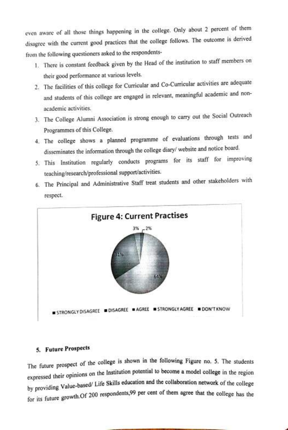even aware of all those things happening in the college. Only about 2 percent of them disagree with the current good practices that the college follows. The outcome is derived from the following questioners asked to the respondents-

- 1. There is constant feedback given by the Head of the institution to staff members on their good performance at various levels.
- 2. The facilities of this college for Curricular and Co-Curricular activities are adequate and students of this college are engaged in relevant, meaningful academic and nonacademic activities.
- 3. The College Alumni Association is strong enough to carry out the Social Outreach Programmes of this College.
- 4. The college shows a planned programme of evaluations through tests and disseminates the information through the college diary/ website and notice board.
- 5. This Institution regularly conducts programs for its staff for improving teaching/research/professional support/activities.



6. The Principal and Administrative Staff treat students and other stakeholders with respect.

# 5. Future Prospects

The future prospect of the college is shown in the following Figure no. 5. The students expressed their opinions on the Institution potential to become a model college in the region hy providing Value-based/ Life Skils education and the collaboration network of the college for its future growth.Of 200 respondents,99 per cent of them agree that the college has the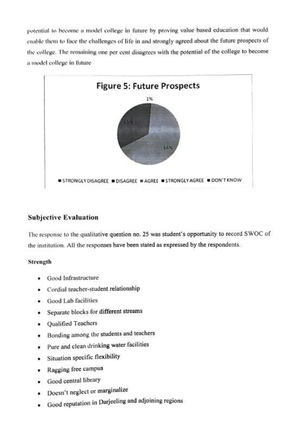potential to become a model college in future by proving value based education that would enable them to face the challenges of life in and strongly agreed about the future prospects of the college. The remaining one per cent disagrees with the potential of the college to become a model college in fiuture



## Subjective Evaluation

The response to the qualitative question no. 25 was student's opportunity to record SWOC of the institution. All the responses have been stated as expressed by the respondents.

## Strength

- .Good Infrastructure
- Cordial teacher-student relationship
- Good Lab facilities
- Separate blocks for different streams
- Qualified Teachers
- Bonding among the students and teachers
- Pure and clean drinking water facilities
- Situation specific flexibility
- Ragging free campus
- Good central library
- Doesn't neglect or marginalize
- Good reputation in Darjeeling and adjoining regions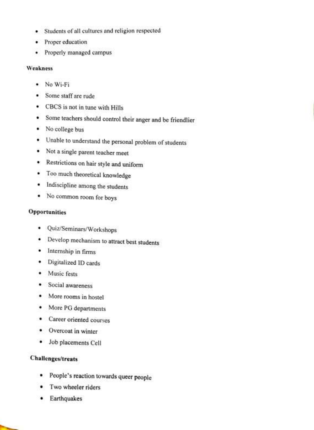- Students of all cultures and religion respected ۰
- Proper education
- Properly managed campus

#### Weakness

- No Wi-Fi
- Some staff are rude
- CBCS is not in tune with Hills
- Some teachers should control their anger and be friendlier
- No college bus
- Unable to understand the personal problem of students
- Not a single parent teacher meet
- Restrictions on hair style and uniform
- Too much theoretical knowledge
- Indiscipline among the students
- No common room for boys

## Opportunities

- Quiz/Seminars/Workshops
- Develop mechanism to attract best students
- Internship in firms
- Digitalized ID cards
- Music fests
- Social awareness
- More rooms in hostel
- More PG departments
- Career oriented courses
- Overcoat in winter
- Job placements Cell

## Challenges/treats

- People's reaction towards queer people
- Two wheeler riders
- Earthquakes

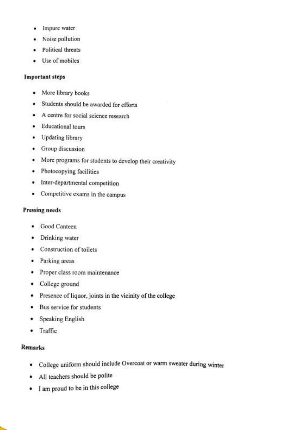- Impure water
- Noise pollution
- Political threats
- Use of mobiles

#### Important steps

- More library books
- Students should be awarded for efforts
- A centre for social science research
- **•** Educational tours
- Updating library
- Group discussion
- More programs for students to develop their creativity
- Photocopying facilities
- Inter-departmental competition
- Competitive exams in the campus

## Pressing needs

- Good Canteen
- Drinking water
- Construction of toilets
- Parking areas
- Proper class room maintenance
- College ground
- Presence of liquor, joints in the vicinity of the college
- Bus service for students
- Speaking English
- Traffic

## Remarks

- College uniform should include Overcoat or warm sweater during winter
- All teachers should be polite
- I am proud to be in this college